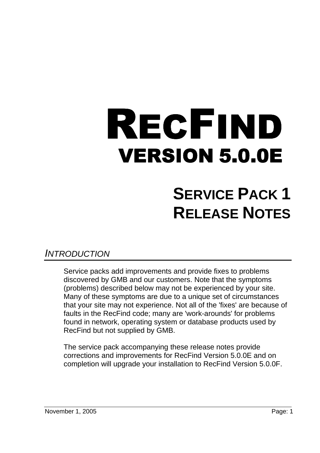# VERSION 5.0.0E RECFIND

# **SERVICE PACK 1 RELEASE NOTES**

## INTRODUCTION

Service packs add improvements and provide fixes to problems discovered by GMB and our customers. Note that the symptoms (problems) described below may not be experienced by your site. Many of these symptoms are due to a unique set of circumstances that your site may not experience. Not all of the 'fixes' are because of faults in the RecFind code; many are 'work-arounds' for problems found in network, operating system or database products used by RecFind but not supplied by GMB.

The service pack accompanying these release notes provide corrections and improvements for RecFind Version 5.0.0E and on completion will upgrade your installation to RecFind Version 5.0.0F.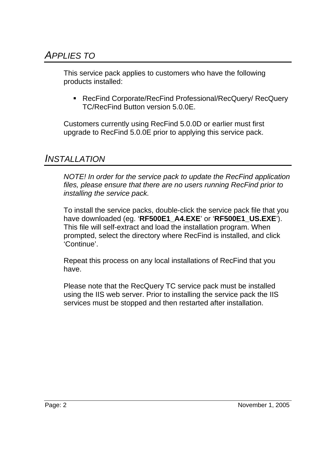This service pack applies to customers who have the following products installed:

■ RecFind Corporate/RecFind Professional/RecQuery/ RecQuery TC/RecFind Button version 5.0.0E.

Customers currently using RecFind 5.0.0D or earlier must first upgrade to RecFind 5.0.0E prior to applying this service pack.

## INSTALLATION

NOTE! In order for the service pack to update the RecFind application files, please ensure that there are no users running RecFind prior to installing the service pack.

To install the service packs, double-click the service pack file that you have downloaded (eg. '**RF500E1\_A4.EXE**' or '**RF500E1\_US.EXE**'). This file will self-extract and load the installation program. When prompted, select the directory where RecFind is installed, and click 'Continue'.

Repeat this process on any local installations of RecFind that you have.

Please note that the RecQuery TC service pack must be installed using the IIS web server. Prior to installing the service pack the IIS services must be stopped and then restarted after installation.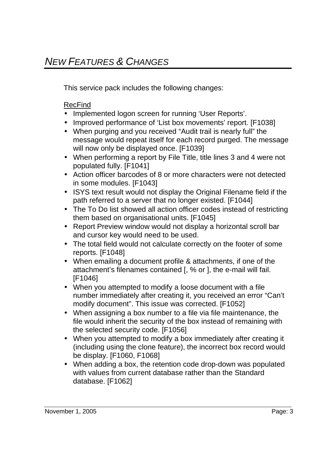This service pack includes the following changes:

#### RecFind

- Implemented logon screen for running 'User Reports'.
- Improved performance of 'List box movements' report. [F1038]
- When purging and you received "Audit trail is nearly full" the message would repeat itself for each record purged. The message will now only be displayed once. [F1039]
- When performing a report by File Title, title lines 3 and 4 were not populated fully. [F1041]
- Action officer barcodes of 8 or more characters were not detected in some modules. [F1043]
- ISYS text result would not display the Original Filename field if the path referred to a server that no longer existed. [F1044]
- The To Do list showed all action officer codes instead of restricting them based on organisational units. [F1045]
- Report Preview window would not display a horizontal scroll bar and cursor key would need to be used.
- The total field would not calculate correctly on the footer of some reports. [F1048]
- When emailing a document profile & attachments, if one of the attachment's filenames contained [, % or ], the e-mail will fail. [F1046]
- When you attempted to modify a loose document with a file number immediately after creating it, you received an error "Can't modify document". This issue was corrected. [F1052]
- When assigning a box number to a file via file maintenance, the file would inherit the security of the box instead of remaining with the selected security code. [F1056]
- When you attempted to modify a box immediately after creating it (including using the clone feature), the incorrect box record would be display. [F1060, F1068]
- When adding a box, the retention code drop-down was populated with values from current database rather than the Standard database. [F1062]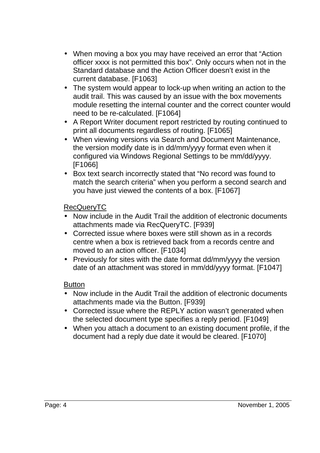- When moving a box you may have received an error that "Action officer xxxx is not permitted this box". Only occurs when not in the Standard database and the Action Officer doesn't exist in the current database. [F1063]
- The system would appear to lock-up when writing an action to the audit trail. This was caused by an issue with the box movements module resetting the internal counter and the correct counter would need to be re-calculated. [F1064]
- A Report Writer document report restricted by routing continued to print all documents regardless of routing. [F1065]
- When viewing versions via Search and Document Maintenance, the version modify date is in dd/mm/yyyy format even when it configured via Windows Regional Settings to be mm/dd/yyyy. [F1066]
- Box text search incorrectly stated that "No record was found to match the search criteria" when you perform a second search and you have just viewed the contents of a box. [F1067]

#### RecQueryTC

- Now include in the Audit Trail the addition of electronic documents attachments made via RecQueryTC. [F939]
- Corrected issue where boxes were still shown as in a records centre when a box is retrieved back from a records centre and moved to an action officer. [F1034]
- Previously for sites with the date format dd/mm/yyyy the version date of an attachment was stored in mm/dd/yyyy format. [F1047]

#### Button

- Now include in the Audit Trail the addition of electronic documents attachments made via the Button. [F939]
- Corrected issue where the REPLY action wasn't generated when the selected document type specifies a reply period. [F1049]
- When you attach a document to an existing document profile, if the document had a reply due date it would be cleared. [F1070]